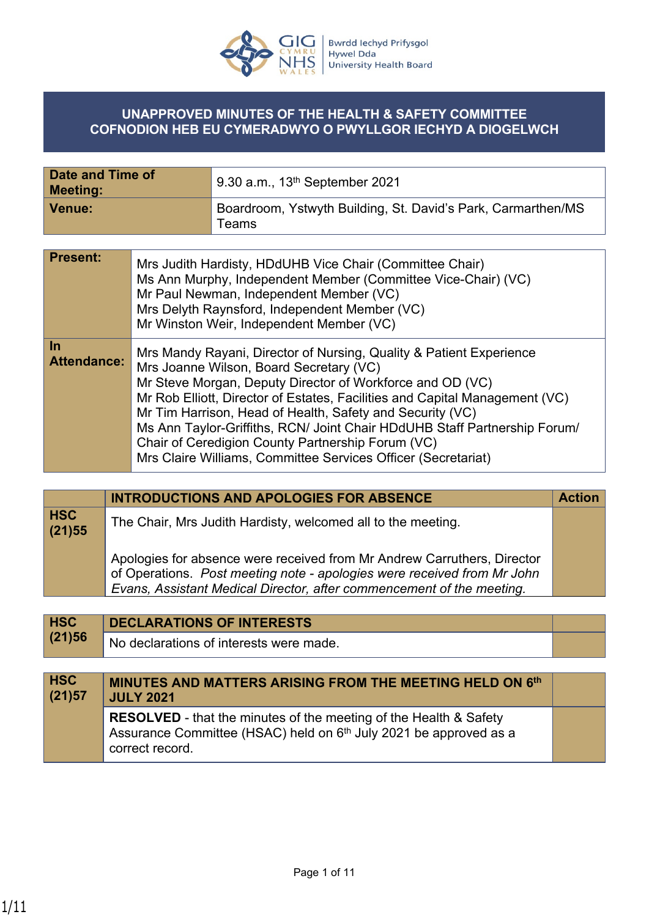

## **UNAPPROVED MINUTES OF THE HEALTH & SAFETY COMMITTEE COFNODION HEB EU CYMERADWYO O PWYLLGOR IECHYD A DIOGELWCH**

| Date and Time of<br><b>Meeting:</b> | 9.30 a.m., $13^{th}$ September 2021                                   |
|-------------------------------------|-----------------------------------------------------------------------|
| <b>Venue:</b>                       | Boardroom, Ystwyth Building, St. David's Park, Carmarthen/MS<br>Teams |

| <b>Present:</b>          | Mrs Judith Hardisty, HDdUHB Vice Chair (Committee Chair)<br>Ms Ann Murphy, Independent Member (Committee Vice-Chair) (VC)<br>Mr Paul Newman, Independent Member (VC)<br>Mrs Delyth Raynsford, Independent Member (VC)<br>Mr Winston Weir, Independent Member (VC)                                                                                                                                                                                                                                                          |
|--------------------------|----------------------------------------------------------------------------------------------------------------------------------------------------------------------------------------------------------------------------------------------------------------------------------------------------------------------------------------------------------------------------------------------------------------------------------------------------------------------------------------------------------------------------|
| <u>In</u><br>Attendance: | Mrs Mandy Rayani, Director of Nursing, Quality & Patient Experience<br>Mrs Joanne Wilson, Board Secretary (VC)<br>Mr Steve Morgan, Deputy Director of Workforce and OD (VC)<br>Mr Rob Elliott, Director of Estates, Facilities and Capital Management (VC)<br>Mr Tim Harrison, Head of Health, Safety and Security (VC)<br>Ms Ann Taylor-Griffiths, RCN/ Joint Chair HDdUHB Staff Partnership Forum/<br>Chair of Ceredigion County Partnership Forum (VC)<br>Mrs Claire Williams, Committee Services Officer (Secretariat) |

|                      | <b>INTRODUCTIONS AND APOLOGIES FOR ABSENCE</b>                                                                                                                                                                              | <b>Action</b> |
|----------------------|-----------------------------------------------------------------------------------------------------------------------------------------------------------------------------------------------------------------------------|---------------|
| <b>HSC</b><br>(21)55 | The Chair, Mrs Judith Hardisty, welcomed all to the meeting.                                                                                                                                                                |               |
|                      | Apologies for absence were received from Mr Andrew Carruthers, Director<br>of Operations. Post meeting note - apologies were received from Mr John<br>Evans, Assistant Medical Director, after commencement of the meeting. |               |
|                      |                                                                                                                                                                                                                             |               |

|        | <b>DECLARATIONS OF INTERESTS</b>        |  |
|--------|-----------------------------------------|--|
| (21)56 | No declarations of interests were made. |  |

| <b>HSC</b><br>(21)57 | <b>MINUTES AND MATTERS ARISING FROM THE MEETING HELD ON 6th</b><br><b>JULY 2021</b>                                                                                          |  |
|----------------------|------------------------------------------------------------------------------------------------------------------------------------------------------------------------------|--|
|                      | <b>RESOLVED</b> - that the minutes of the meeting of the Health & Safety<br>Assurance Committee (HSAC) held on 6 <sup>th</sup> July 2021 be approved as a<br>correct record. |  |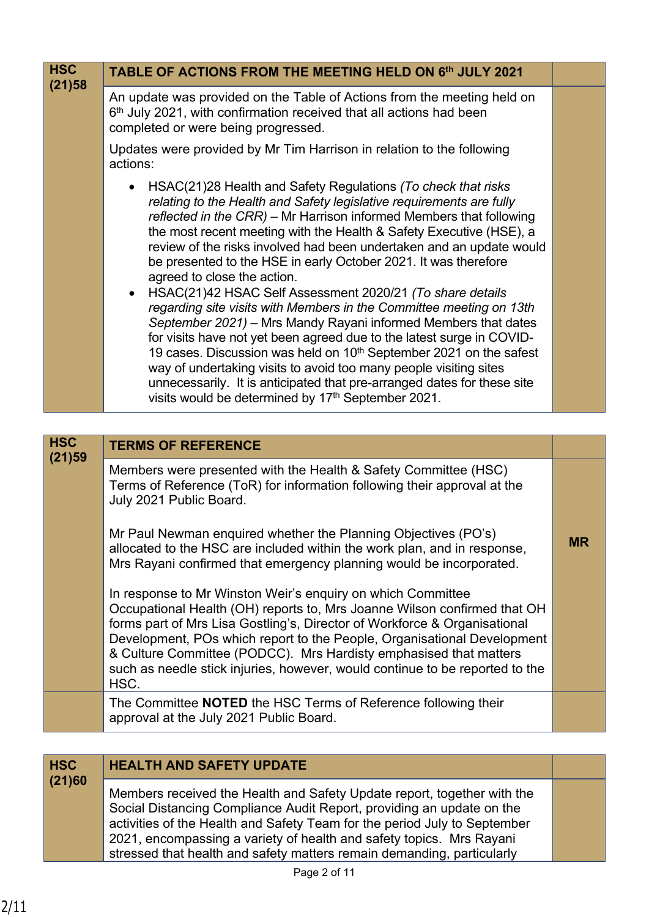| <b>HSC</b> | TABLE OF ACTIONS FROM THE MEETING HELD ON 6th JULY 2021                                                                                                                                                                                                                                                                                                                                                                                                                                                                                                                                                                                                                                                                                                                                                                                                                                                                                                                                                                                           |           |
|------------|---------------------------------------------------------------------------------------------------------------------------------------------------------------------------------------------------------------------------------------------------------------------------------------------------------------------------------------------------------------------------------------------------------------------------------------------------------------------------------------------------------------------------------------------------------------------------------------------------------------------------------------------------------------------------------------------------------------------------------------------------------------------------------------------------------------------------------------------------------------------------------------------------------------------------------------------------------------------------------------------------------------------------------------------------|-----------|
| (21)58     | An update was provided on the Table of Actions from the meeting held on<br>$6th$ July 2021, with confirmation received that all actions had been<br>completed or were being progressed.                                                                                                                                                                                                                                                                                                                                                                                                                                                                                                                                                                                                                                                                                                                                                                                                                                                           |           |
|            | Updates were provided by Mr Tim Harrison in relation to the following<br>actions:                                                                                                                                                                                                                                                                                                                                                                                                                                                                                                                                                                                                                                                                                                                                                                                                                                                                                                                                                                 |           |
|            | HSAC(21)28 Health and Safety Regulations (To check that risks<br>relating to the Health and Safety legislative requirements are fully<br>reflected in the CRR) - Mr Harrison informed Members that following<br>the most recent meeting with the Health & Safety Executive (HSE), a<br>review of the risks involved had been undertaken and an update would<br>be presented to the HSE in early October 2021. It was therefore<br>agreed to close the action.<br>HSAC(21)42 HSAC Self Assessment 2020/21 (To share details<br>$\bullet$<br>regarding site visits with Members in the Committee meeting on 13th<br>September 2021) - Mrs Mandy Rayani informed Members that dates<br>for visits have not yet been agreed due to the latest surge in COVID-<br>19 cases. Discussion was held on 10 <sup>th</sup> September 2021 on the safest<br>way of undertaking visits to avoid too many people visiting sites<br>unnecessarily. It is anticipated that pre-arranged dates for these site<br>visits would be determined by 17th September 2021. |           |
| <b>HSC</b> |                                                                                                                                                                                                                                                                                                                                                                                                                                                                                                                                                                                                                                                                                                                                                                                                                                                                                                                                                                                                                                                   |           |
| (21)59     | <b>TERMS OF REFERENCE</b><br>Members were presented with the Health & Safety Committee (HSC)<br>Terms of Reference (ToR) for information following their approval at the<br>July 2021 Public Board.<br>Mr Paul Newman enquired whether the Planning Objectives (PO's)<br>allocated to the HSC are included within the work plan, and in response,<br>Mrs Rayani confirmed that emergency planning would be incorporated.<br>In response to Mr Winston Weir's enquiry on which Committee<br>Occupational Health (OH) reports to, Mrs Joanne Wilson confirmed that OH<br>forms part of Mrs Lisa Gostling's, Director of Workforce & Organisational<br>Development, POs which report to the People, Organisational Development<br>& Culture Committee (PODCC). Mrs Hardisty emphasised that matters<br>such as needle stick injuries, however, would continue to be reported to the<br>HSC.                                                                                                                                                          | <b>MR</b> |
|            | The Committee <b>NOTED</b> the HSC Terms of Reference following their<br>approval at the July 2021 Public Board.                                                                                                                                                                                                                                                                                                                                                                                                                                                                                                                                                                                                                                                                                                                                                                                                                                                                                                                                  |           |

| <b>HSC</b> | <b>HEALTH AND SAFETY UPDATE</b>                                                                                                                                                                                                                                                                                                                                                 |  |
|------------|---------------------------------------------------------------------------------------------------------------------------------------------------------------------------------------------------------------------------------------------------------------------------------------------------------------------------------------------------------------------------------|--|
| (21)60     | Members received the Health and Safety Update report, together with the<br>Social Distancing Compliance Audit Report, providing an update on the<br>activities of the Health and Safety Team for the period July to September<br>2021, encompassing a variety of health and safety topics. Mrs Rayani<br>stressed that health and safety matters remain demanding, particularly |  |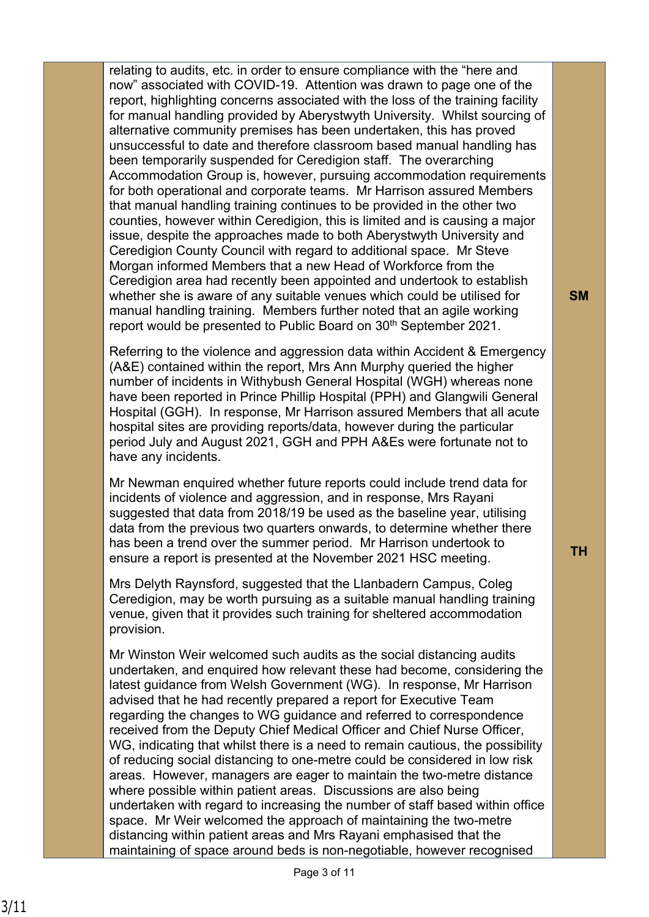relating to audits, etc. in order to ensure compliance with the "here and now" associated with COVID-19. Attention was drawn to page one of the report, highlighting concerns associated with the loss of the training facility for manual handling provided by Aberystwyth University. Whilst sourcing of alternative community premises has been undertaken, this has proved unsuccessful to date and therefore classroom based manual handling has been temporarily suspended for Ceredigion staff. The overarching Accommodation Group is, however, pursuing accommodation requirements for both operational and corporate teams. Mr Harrison assured Members that manual handling training continues to be provided in the other two counties, however within Ceredigion, this is limited and is causing a major issue, despite the approaches made to both Aberystwyth University and Ceredigion County Council with regard to additional space. Mr Steve Morgan informed Members that a new Head of Workforce from the Ceredigion area had recently been appointed and undertook to establish whether she is aware of any suitable venues which could be utilised for manual handling training. Members further noted that an agile working report would be presented to Public Board on 30<sup>th</sup> September 2021.

Referring to the violence and aggression data within Accident & Emergency (A&E) contained within the report, Mrs Ann Murphy queried the higher number of incidents in Withybush General Hospital (WGH) whereas none have been reported in Prince Phillip Hospital (PPH) and Glangwili General Hospital (GGH). In response, Mr Harrison assured Members that all acute hospital sites are providing reports/data, however during the particular period July and August 2021, GGH and PPH A&Es were fortunate not to have any incidents.

Mr Newman enquired whether future reports could include trend data for incidents of violence and aggression, and in response, Mrs Rayani suggested that data from 2018/19 be used as the baseline year, utilising data from the previous two quarters onwards, to determine whether there has been a trend over the summer period. Mr Harrison undertook to ensure a report is presented at the November 2021 HSC meeting.

Mrs Delyth Raynsford, suggested that the Llanbadern Campus, Coleg Ceredigion, may be worth pursuing as a suitable manual handling training venue, given that it provides such training for sheltered accommodation provision.

Mr Winston Weir welcomed such audits as the social distancing audits undertaken, and enquired how relevant these had become, considering the latest guidance from Welsh Government (WG). In response, Mr Harrison advised that he had recently prepared a report for Executive Team regarding the changes to WG guidance and referred to correspondence received from the Deputy Chief Medical Officer and Chief Nurse Officer, WG, indicating that whilst there is a need to remain cautious, the possibility of reducing social distancing to one-metre could be considered in low risk areas. However, managers are eager to maintain the two-metre distance where possible within patient areas. Discussions are also being undertaken with regard to increasing the number of staff based within office space. Mr Weir welcomed the approach of maintaining the two-metre distancing within patient areas and Mrs Rayani emphasised that the maintaining of space around beds is non-negotiable, however recognised

**SM**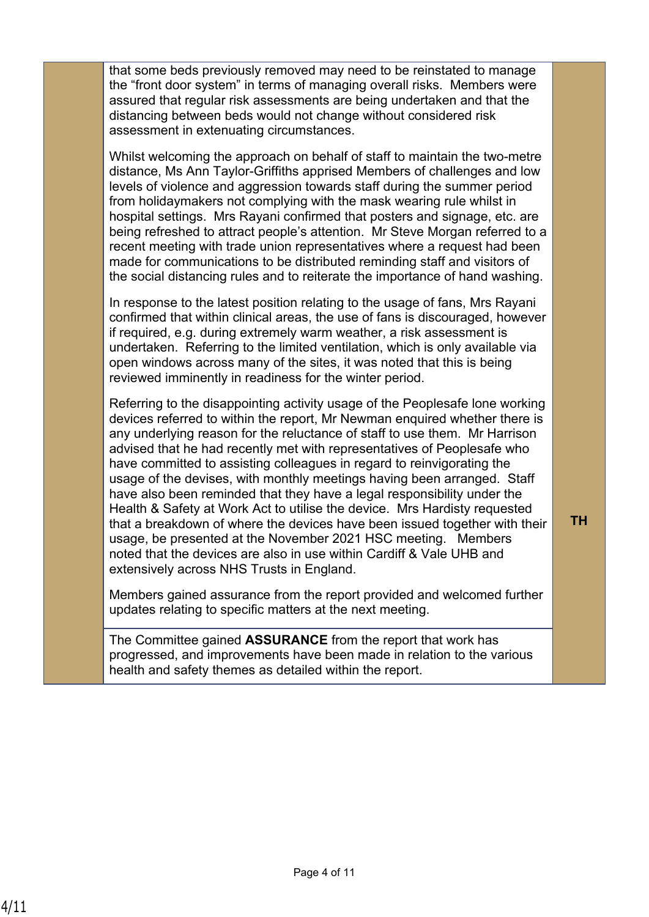that some beds previously removed may need to be reinstated to manage the "front door system" in terms of managing overall risks. Members were assured that regular risk assessments are being undertaken and that the distancing between beds would not change without considered risk assessment in extenuating circumstances.

Whilst welcoming the approach on behalf of staff to maintain the two-metre distance, Ms Ann Taylor-Griffiths apprised Members of challenges and low levels of violence and aggression towards staff during the summer period from holidaymakers not complying with the mask wearing rule whilst in hospital settings. Mrs Rayani confirmed that posters and signage, etc. are being refreshed to attract people's attention. Mr Steve Morgan referred to a recent meeting with trade union representatives where a request had been made for communications to be distributed reminding staff and visitors of the social distancing rules and to reiterate the importance of hand washing.

In response to the latest position relating to the usage of fans, Mrs Rayani confirmed that within clinical areas, the use of fans is discouraged, however if required, e.g. during extremely warm weather, a risk assessment is undertaken. Referring to the limited ventilation, which is only available via open windows across many of the sites, it was noted that this is being reviewed imminently in readiness for the winter period.

Referring to the disappointing activity usage of the Peoplesafe lone working devices referred to within the report, Mr Newman enquired whether there is any underlying reason for the reluctance of staff to use them. Mr Harrison advised that he had recently met with representatives of Peoplesafe who have committed to assisting colleagues in regard to reinvigorating the usage of the devises, with monthly meetings having been arranged. Staff have also been reminded that they have a legal responsibility under the Health & Safety at Work Act to utilise the device. Mrs Hardisty requested that a breakdown of where the devices have been issued together with their usage, be presented at the November 2021 HSC meeting. Members noted that the devices are also in use within Cardiff & Vale UHB and extensively across NHS Trusts in England.

**TH**

Members gained assurance from the report provided and welcomed further updates relating to specific matters at the next meeting.

The Committee gained **ASSURANCE** from the report that work has progressed, and improvements have been made in relation to the various health and safety themes as detailed within the report.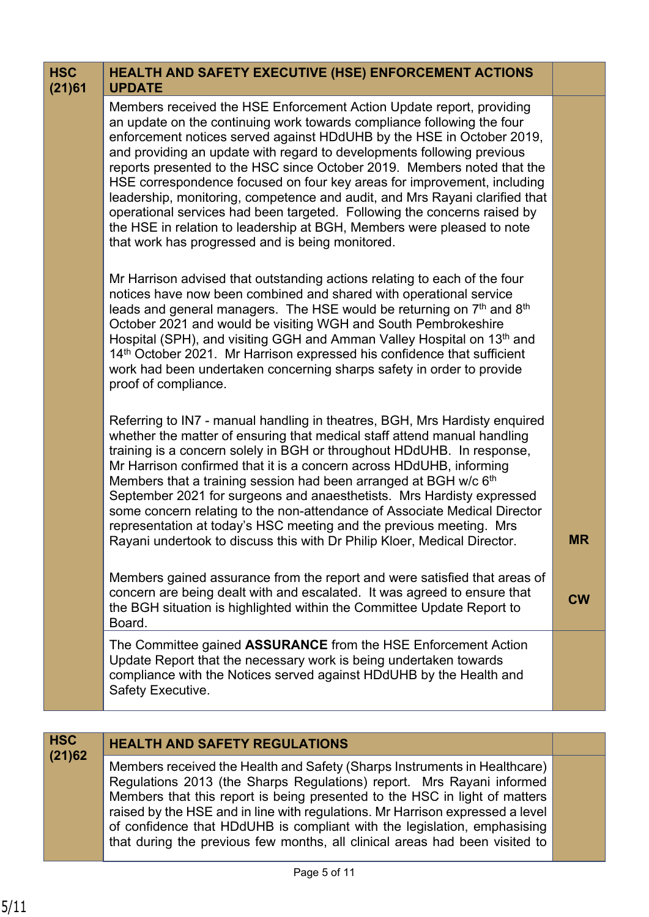| <b>HSC</b><br>(21)61 | <b>HEALTH AND SAFETY EXECUTIVE (HSE) ENFORCEMENT ACTIONS</b><br><b>UPDATE</b>                                                                                                                                                                                                                                                                                                                                                                                                                                                                                                                                                                                                                                                                    |           |
|----------------------|--------------------------------------------------------------------------------------------------------------------------------------------------------------------------------------------------------------------------------------------------------------------------------------------------------------------------------------------------------------------------------------------------------------------------------------------------------------------------------------------------------------------------------------------------------------------------------------------------------------------------------------------------------------------------------------------------------------------------------------------------|-----------|
|                      | Members received the HSE Enforcement Action Update report, providing<br>an update on the continuing work towards compliance following the four<br>enforcement notices served against HDdUHB by the HSE in October 2019,<br>and providing an update with regard to developments following previous<br>reports presented to the HSC since October 2019. Members noted that the<br>HSE correspondence focused on four key areas for improvement, including<br>leadership, monitoring, competence and audit, and Mrs Rayani clarified that<br>operational services had been targeted. Following the concerns raised by<br>the HSE in relation to leadership at BGH, Members were pleased to note<br>that work has progressed and is being monitored. |           |
|                      | Mr Harrison advised that outstanding actions relating to each of the four<br>notices have now been combined and shared with operational service<br>leads and general managers. The HSE would be returning on 7 <sup>th</sup> and 8 <sup>th</sup><br>October 2021 and would be visiting WGH and South Pembrokeshire<br>Hospital (SPH), and visiting GGH and Amman Valley Hospital on 13th and<br>14th October 2021. Mr Harrison expressed his confidence that sufficient<br>work had been undertaken concerning sharps safety in order to provide<br>proof of compliance.                                                                                                                                                                         |           |
|                      | Referring to IN7 - manual handling in theatres, BGH, Mrs Hardisty enquired<br>whether the matter of ensuring that medical staff attend manual handling<br>training is a concern solely in BGH or throughout HDdUHB. In response,<br>Mr Harrison confirmed that it is a concern across HDdUHB, informing<br>Members that a training session had been arranged at BGH w/c 6 <sup>th</sup><br>September 2021 for surgeons and anaesthetists. Mrs Hardisty expressed<br>some concern relating to the non-attendance of Associate Medical Director<br>representation at today's HSC meeting and the previous meeting. Mrs<br>Rayani undertook to discuss this with Dr Philip Kloer, Medical Director.                                                 | <b>MR</b> |
|                      | Members gained assurance from the report and were satisfied that areas of<br>concern are being dealt with and escalated. It was agreed to ensure that<br>the BGH situation is highlighted within the Committee Update Report to<br>Board.                                                                                                                                                                                                                                                                                                                                                                                                                                                                                                        | <b>CW</b> |
|                      | The Committee gained <b>ASSURANCE</b> from the HSE Enforcement Action<br>Update Report that the necessary work is being undertaken towards<br>compliance with the Notices served against HDdUHB by the Health and<br>Safety Executive.                                                                                                                                                                                                                                                                                                                                                                                                                                                                                                           |           |
| <b>HSC</b>           |                                                                                                                                                                                                                                                                                                                                                                                                                                                                                                                                                                                                                                                                                                                                                  |           |
| (21)62               | <b>HEALTH AND SAFETY REGULATIONS</b>                                                                                                                                                                                                                                                                                                                                                                                                                                                                                                                                                                                                                                                                                                             |           |

Members received the Health and Safety (Sharps Instruments in Healthcare) Regulations 2013 (the Sharps Regulations) report. Mrs Rayani informed Members that this report is being presented to the HSC in light of matters raised by the HSE and in line with regulations. Mr Harrison expressed a level of confidence that HDdUHB is compliant with the legislation, emphasising that during the previous few months, all clinical areas had been visited to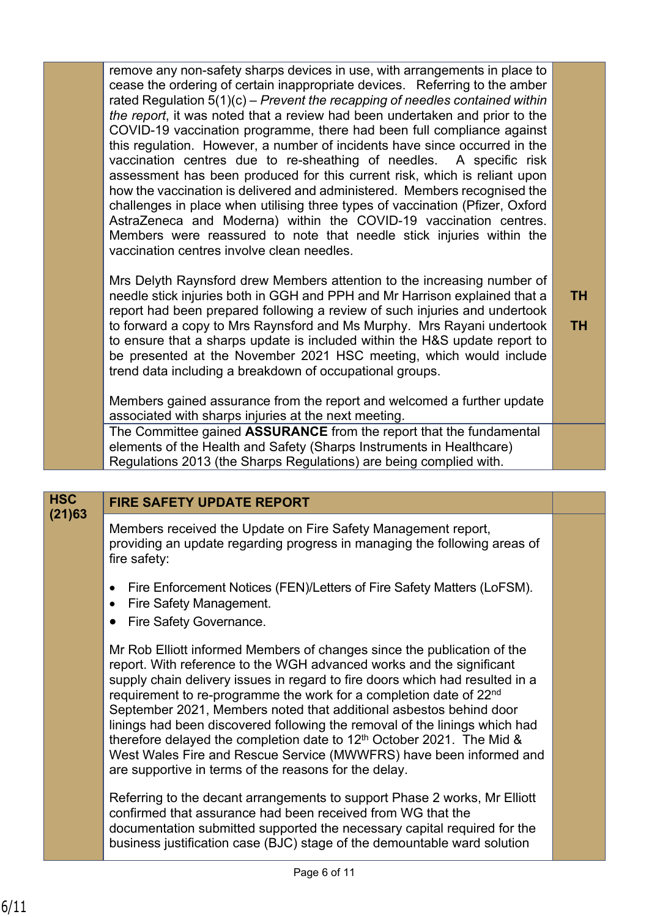remove any non-safety sharps devices in use, with arrangements in place to cease the ordering of certain inappropriate devices. Referring to the amber rated Regulation 5(1)(c) – *Prevent the recapping of needles contained within the report*, it was noted that a review had been undertaken and prior to the COVID-19 vaccination programme, there had been full compliance against this regulation. However, a number of incidents have since occurred in the vaccination centres due to re-sheathing of needles. A specific risk assessment has been produced for this current risk, which is reliant upon how the vaccination is delivered and administered. Members recognised the challenges in place when utilising three types of vaccination (Pfizer, Oxford AstraZeneca and Moderna) within the COVID-19 vaccination centres. Members were reassured to note that needle stick injuries within the vaccination centres involve clean needles.

Mrs Delyth Raynsford drew Members attention to the increasing number of needle stick injuries both in GGH and PPH and Mr Harrison explained that a report had been prepared following a review of such injuries and undertook to forward a copy to Mrs Raynsford and Ms Murphy. Mrs Rayani undertook to ensure that a sharps update is included within the H&S update report to be presented at the November 2021 HSC meeting, which would include trend data including a breakdown of occupational groups. **TH TH**

Members gained assurance from the report and welcomed a further update associated with sharps injuries at the next meeting.

The Committee gained **ASSURANCE** from the report that the fundamental elements of the Health and Safety (Sharps Instruments in Healthcare) Regulations 2013 (the Sharps Regulations) are being complied with.

| <b>HSC</b> | <b>FIRE SAFETY UPDATE REPORT</b>                                                                                                                                                                                                                                                                                                                                                                                                                                                                                                                                                                                                                                                |  |
|------------|---------------------------------------------------------------------------------------------------------------------------------------------------------------------------------------------------------------------------------------------------------------------------------------------------------------------------------------------------------------------------------------------------------------------------------------------------------------------------------------------------------------------------------------------------------------------------------------------------------------------------------------------------------------------------------|--|
| (21)63     | Members received the Update on Fire Safety Management report,<br>providing an update regarding progress in managing the following areas of<br>fire safety:                                                                                                                                                                                                                                                                                                                                                                                                                                                                                                                      |  |
|            | Fire Enforcement Notices (FEN)/Letters of Fire Safety Matters (LoFSM).<br>٠<br>Fire Safety Management.<br>$\bullet$<br>Fire Safety Governance.<br>$\bullet$                                                                                                                                                                                                                                                                                                                                                                                                                                                                                                                     |  |
|            | Mr Rob Elliott informed Members of changes since the publication of the<br>report. With reference to the WGH advanced works and the significant<br>supply chain delivery issues in regard to fire doors which had resulted in a<br>requirement to re-programme the work for a completion date of 22 <sup>nd</sup><br>September 2021, Members noted that additional asbestos behind door<br>linings had been discovered following the removal of the linings which had<br>therefore delayed the completion date to $12th$ October 2021. The Mid &<br>West Wales Fire and Rescue Service (MWWFRS) have been informed and<br>are supportive in terms of the reasons for the delay. |  |
|            | Referring to the decant arrangements to support Phase 2 works, Mr Elliott<br>confirmed that assurance had been received from WG that the<br>documentation submitted supported the necessary capital required for the<br>business justification case (BJC) stage of the demountable ward solution                                                                                                                                                                                                                                                                                                                                                                                |  |
|            |                                                                                                                                                                                                                                                                                                                                                                                                                                                                                                                                                                                                                                                                                 |  |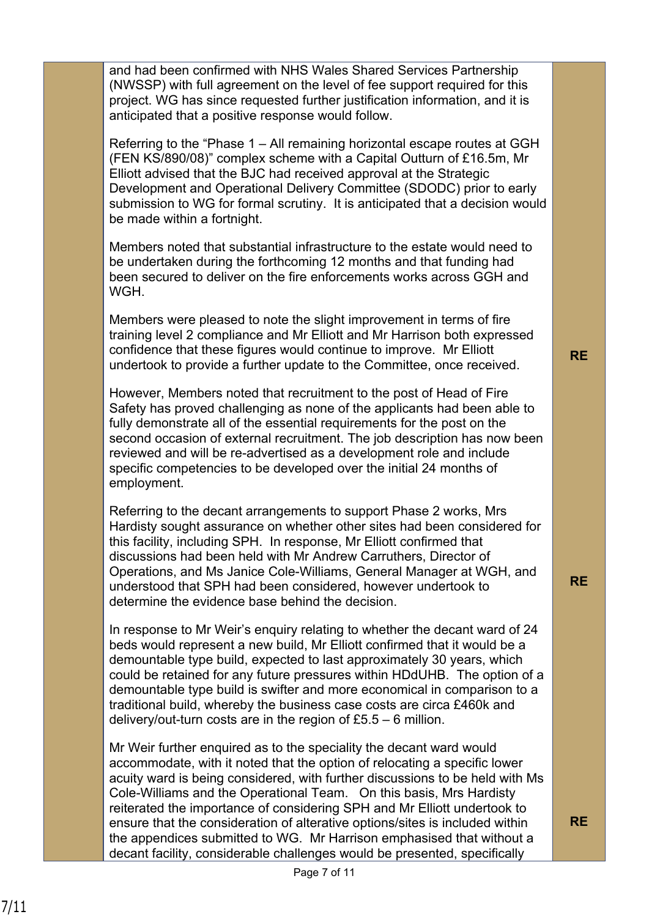and had been confirmed with NHS Wales Shared Services Partnership (NWSSP) with full agreement on the level of fee support required for this project. WG has since requested further justification information, and it is anticipated that a positive response would follow.

Referring to the "Phase 1 – All remaining horizontal escape routes at GGH (FEN KS/890/08)" complex scheme with a Capital Outturn of £16.5m, Mr Elliott advised that the BJC had received approval at the Strategic Development and Operational Delivery Committee (SDODC) prior to early submission to WG for formal scrutiny. It is anticipated that a decision would be made within a fortnight.

Members noted that substantial infrastructure to the estate would need to be undertaken during the forthcoming 12 months and that funding had been secured to deliver on the fire enforcements works across GGH and **WGH** 

Members were pleased to note the slight improvement in terms of fire training level 2 compliance and Mr Elliott and Mr Harrison both expressed confidence that these figures would continue to improve. Mr Elliott undertook to provide a further update to the Committee, once received.

However, Members noted that recruitment to the post of Head of Fire Safety has proved challenging as none of the applicants had been able to fully demonstrate all of the essential requirements for the post on the second occasion of external recruitment. The job description has now been reviewed and will be re-advertised as a development role and include specific competencies to be developed over the initial 24 months of employment.

Referring to the decant arrangements to support Phase 2 works, Mrs Hardisty sought assurance on whether other sites had been considered for this facility, including SPH. In response, Mr Elliott confirmed that discussions had been held with Mr Andrew Carruthers, Director of Operations, and Ms Janice Cole-Williams, General Manager at WGH, and understood that SPH had been considered, however undertook to determine the evidence base behind the decision.

In response to Mr Weir's enquiry relating to whether the decant ward of 24 beds would represent a new build, Mr Elliott confirmed that it would be a demountable type build, expected to last approximately 30 years, which could be retained for any future pressures within HDdUHB. The option of a demountable type build is swifter and more economical in comparison to a traditional build, whereby the business case costs are circa £460k and delivery/out-turn costs are in the region of £5.5 – 6 million.

Mr Weir further enquired as to the speciality the decant ward would accommodate, with it noted that the option of relocating a specific lower acuity ward is being considered, with further discussions to be held with Ms Cole-Williams and the Operational Team. On this basis, Mrs Hardisty reiterated the importance of considering SPH and Mr Elliott undertook to ensure that the consideration of alterative options/sites is included within the appendices submitted to WG. Mr Harrison emphasised that without a decant facility, considerable challenges would be presented, specifically

**RE**

**RE**

7/11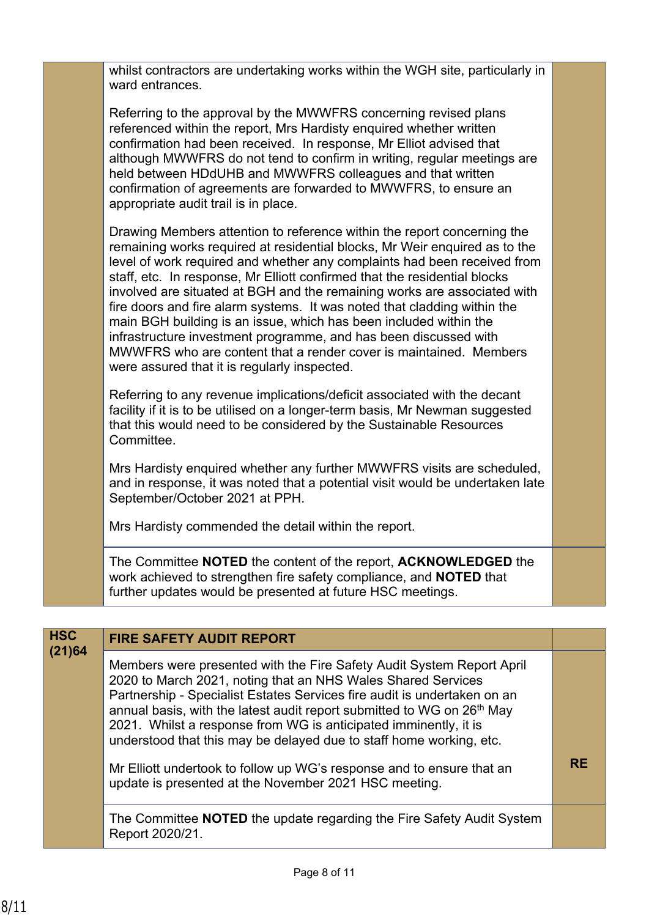|                      | whilst contractors are undertaking works within the WGH site, particularly in<br>ward entrances.                                                                                                                                                                                                                                                                                                                                                                                                                                                                                                                                                                                                                                     |           |
|----------------------|--------------------------------------------------------------------------------------------------------------------------------------------------------------------------------------------------------------------------------------------------------------------------------------------------------------------------------------------------------------------------------------------------------------------------------------------------------------------------------------------------------------------------------------------------------------------------------------------------------------------------------------------------------------------------------------------------------------------------------------|-----------|
|                      | Referring to the approval by the MWWFRS concerning revised plans<br>referenced within the report, Mrs Hardisty enquired whether written<br>confirmation had been received. In response, Mr Elliot advised that<br>although MWWFRS do not tend to confirm in writing, regular meetings are<br>held between HDdUHB and MWWFRS colleagues and that written<br>confirmation of agreements are forwarded to MWWFRS, to ensure an<br>appropriate audit trail is in place.                                                                                                                                                                                                                                                                  |           |
|                      | Drawing Members attention to reference within the report concerning the<br>remaining works required at residential blocks, Mr Weir enquired as to the<br>level of work required and whether any complaints had been received from<br>staff, etc. In response, Mr Elliott confirmed that the residential blocks<br>involved are situated at BGH and the remaining works are associated with<br>fire doors and fire alarm systems. It was noted that cladding within the<br>main BGH building is an issue, which has been included within the<br>infrastructure investment programme, and has been discussed with<br>MWWFRS who are content that a render cover is maintained. Members<br>were assured that it is regularly inspected. |           |
|                      | Referring to any revenue implications/deficit associated with the decant<br>facility if it is to be utilised on a longer-term basis, Mr Newman suggested<br>that this would need to be considered by the Sustainable Resources<br>Committee.                                                                                                                                                                                                                                                                                                                                                                                                                                                                                         |           |
|                      | Mrs Hardisty enquired whether any further MWWFRS visits are scheduled,<br>and in response, it was noted that a potential visit would be undertaken late<br>September/October 2021 at PPH.                                                                                                                                                                                                                                                                                                                                                                                                                                                                                                                                            |           |
|                      | Mrs Hardisty commended the detail within the report.                                                                                                                                                                                                                                                                                                                                                                                                                                                                                                                                                                                                                                                                                 |           |
|                      | The Committee NOTED the content of the report, ACKNOWLEDGED the<br>work achieved to strengthen fire safety compliance, and NOTED that<br>further updates would be presented at future HSC meetings.                                                                                                                                                                                                                                                                                                                                                                                                                                                                                                                                  |           |
|                      |                                                                                                                                                                                                                                                                                                                                                                                                                                                                                                                                                                                                                                                                                                                                      |           |
| <b>HSC</b><br>(21)64 | <b>FIRE SAFETY AUDIT REPORT</b>                                                                                                                                                                                                                                                                                                                                                                                                                                                                                                                                                                                                                                                                                                      |           |
|                      | Members were presented with the Fire Safety Audit System Report April<br>2020 to March 2021, noting that an NHS Wales Shared Services<br>Partnership - Specialist Estates Services fire audit is undertaken on an<br>annual basis, with the latest audit report submitted to WG on 26 <sup>th</sup> May<br>2021. Whilst a response from WG is anticipated imminently, it is<br>understood that this may be delayed due to staff home working, etc.                                                                                                                                                                                                                                                                                   |           |
|                      | Mr Elliott undertook to follow up WG's response and to ensure that an                                                                                                                                                                                                                                                                                                                                                                                                                                                                                                                                                                                                                                                                | <b>RE</b> |

update is presented at the November 2021 HSC meeting.

The Committee **NOTED** the update regarding the Fire Safety Audit System Report 2020/21.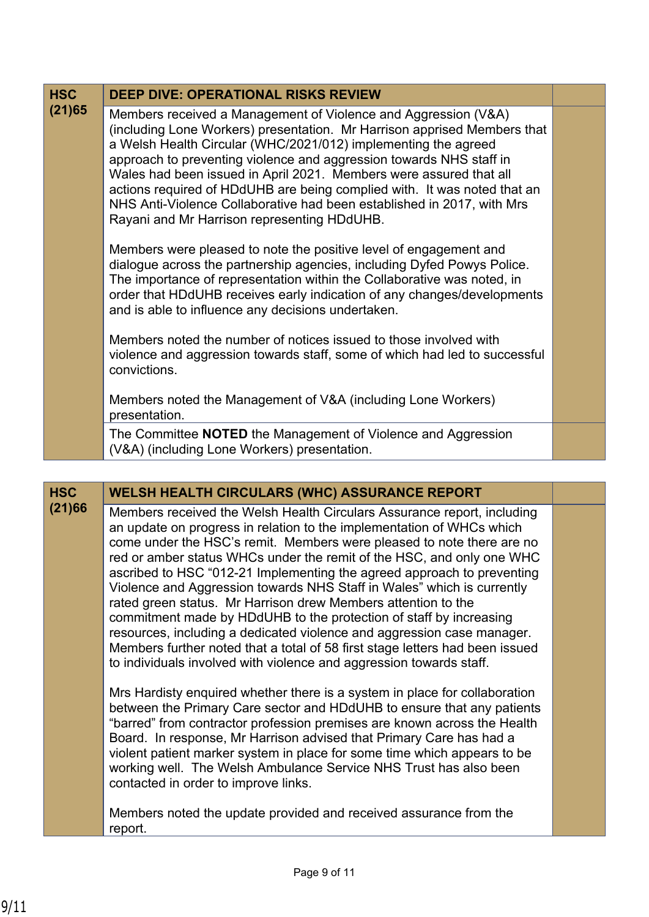| <b>HSC</b><br>(21)65 | <b>DEEP DIVE: OPERATIONAL RISKS REVIEW</b>                                                                                                                                                                                                                                                                                                                                                                                                                                                                                                                     |  |
|----------------------|----------------------------------------------------------------------------------------------------------------------------------------------------------------------------------------------------------------------------------------------------------------------------------------------------------------------------------------------------------------------------------------------------------------------------------------------------------------------------------------------------------------------------------------------------------------|--|
|                      | Members received a Management of Violence and Aggression (V&A)<br>(including Lone Workers) presentation. Mr Harrison apprised Members that<br>a Welsh Health Circular (WHC/2021/012) implementing the agreed<br>approach to preventing violence and aggression towards NHS staff in<br>Wales had been issued in April 2021. Members were assured that all<br>actions required of HDdUHB are being complied with. It was noted that an<br>NHS Anti-Violence Collaborative had been established in 2017, with Mrs<br>Rayani and Mr Harrison representing HDdUHB. |  |
|                      | Members were pleased to note the positive level of engagement and<br>dialogue across the partnership agencies, including Dyfed Powys Police.<br>The importance of representation within the Collaborative was noted, in<br>order that HDdUHB receives early indication of any changes/developments<br>and is able to influence any decisions undertaken.                                                                                                                                                                                                       |  |
|                      | Members noted the number of notices issued to those involved with<br>violence and aggression towards staff, some of which had led to successful<br>convictions.                                                                                                                                                                                                                                                                                                                                                                                                |  |
|                      | Members noted the Management of V&A (including Lone Workers)<br>presentation.                                                                                                                                                                                                                                                                                                                                                                                                                                                                                  |  |
|                      | The Committee <b>NOTED</b> the Management of Violence and Aggression<br>(V&A) (including Lone Workers) presentation.                                                                                                                                                                                                                                                                                                                                                                                                                                           |  |
|                      |                                                                                                                                                                                                                                                                                                                                                                                                                                                                                                                                                                |  |

| <b>HSC</b> | <b>WELSH HEALTH CIRCULARS (WHC) ASSURANCE REPORT</b>                                                                                                                                                                                                                                                                                                                                                                                                                                                                                                                                                                                                                                                                                                                                                                                                                                                         |  |
|------------|--------------------------------------------------------------------------------------------------------------------------------------------------------------------------------------------------------------------------------------------------------------------------------------------------------------------------------------------------------------------------------------------------------------------------------------------------------------------------------------------------------------------------------------------------------------------------------------------------------------------------------------------------------------------------------------------------------------------------------------------------------------------------------------------------------------------------------------------------------------------------------------------------------------|--|
| (21)66     | Members received the Welsh Health Circulars Assurance report, including<br>an update on progress in relation to the implementation of WHCs which<br>come under the HSC's remit. Members were pleased to note there are no<br>red or amber status WHCs under the remit of the HSC, and only one WHC<br>ascribed to HSC "012-21 Implementing the agreed approach to preventing<br>Violence and Aggression towards NHS Staff in Wales" which is currently<br>rated green status. Mr Harrison drew Members attention to the<br>commitment made by HDdUHB to the protection of staff by increasing<br>resources, including a dedicated violence and aggression case manager.<br>Members further noted that a total of 58 first stage letters had been issued<br>to individuals involved with violence and aggression towards staff.<br>Mrs Hardisty enquired whether there is a system in place for collaboration |  |
|            | between the Primary Care sector and HDdUHB to ensure that any patients<br>"barred" from contractor profession premises are known across the Health<br>Board. In response, Mr Harrison advised that Primary Care has had a<br>violent patient marker system in place for some time which appears to be<br>working well. The Welsh Ambulance Service NHS Trust has also been<br>contacted in order to improve links.<br>Members noted the update provided and received assurance from the<br>report.                                                                                                                                                                                                                                                                                                                                                                                                           |  |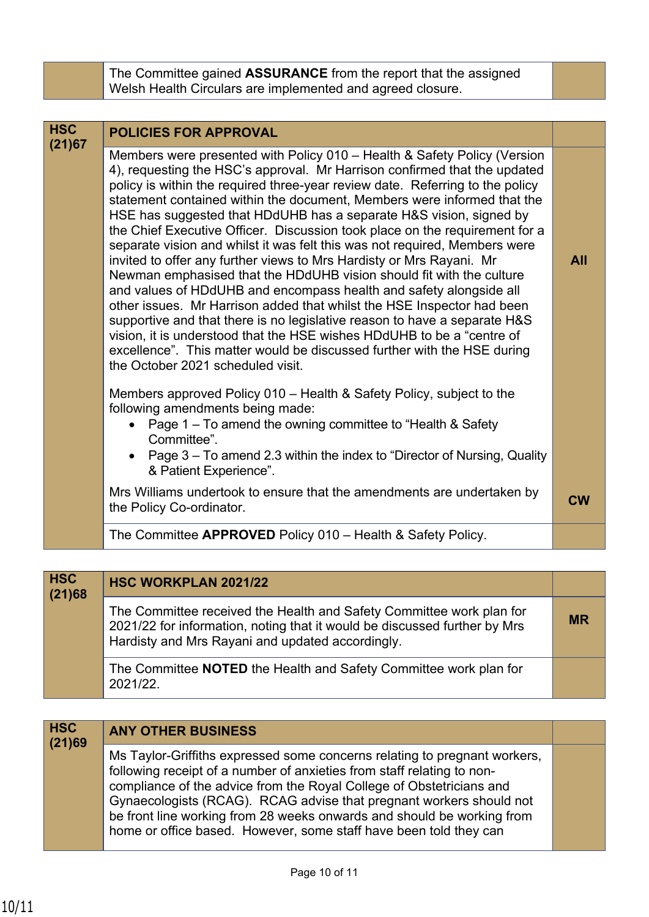| The Committee gained <b>ASSURANCE</b> from the report that the assigned |
|-------------------------------------------------------------------------|
| Welsh Health Circulars are implemented and agreed closure.              |

| <b>HSC</b><br>(21)67 | <b>POLICIES FOR APPROVAL</b>                                                                                                                                                                                                                                                                                                                                                                                                                                                                                                                                                                                                                                                                                                                                                                                                                                                                                                                                                                                                                                                                                                |            |
|----------------------|-----------------------------------------------------------------------------------------------------------------------------------------------------------------------------------------------------------------------------------------------------------------------------------------------------------------------------------------------------------------------------------------------------------------------------------------------------------------------------------------------------------------------------------------------------------------------------------------------------------------------------------------------------------------------------------------------------------------------------------------------------------------------------------------------------------------------------------------------------------------------------------------------------------------------------------------------------------------------------------------------------------------------------------------------------------------------------------------------------------------------------|------------|
|                      | Members were presented with Policy 010 – Health & Safety Policy (Version<br>4), requesting the HSC's approval. Mr Harrison confirmed that the updated<br>policy is within the required three-year review date. Referring to the policy<br>statement contained within the document, Members were informed that the<br>HSE has suggested that HDdUHB has a separate H&S vision, signed by<br>the Chief Executive Officer. Discussion took place on the requirement for a<br>separate vision and whilst it was felt this was not required, Members were<br>invited to offer any further views to Mrs Hardisty or Mrs Rayani. Mr<br>Newman emphasised that the HDdUHB vision should fit with the culture<br>and values of HDdUHB and encompass health and safety alongside all<br>other issues. Mr Harrison added that whilst the HSE Inspector had been<br>supportive and that there is no legislative reason to have a separate H&S<br>vision, it is understood that the HSE wishes HDdUHB to be a "centre of<br>excellence". This matter would be discussed further with the HSE during<br>the October 2021 scheduled visit. | <b>All</b> |
|                      | Members approved Policy 010 – Health & Safety Policy, subject to the<br>following amendments being made:<br>Page 1 – To amend the owning committee to "Health & Safety<br>Committee".<br>Page 3 – To amend 2.3 within the index to "Director of Nursing, Quality<br>& Patient Experience".<br>Mrs Williams undertook to ensure that the amendments are undertaken by<br>the Policy Co-ordinator.                                                                                                                                                                                                                                                                                                                                                                                                                                                                                                                                                                                                                                                                                                                            | <b>CW</b>  |
|                      | The Committee APPROVED Policy 010 - Health & Safety Policy.                                                                                                                                                                                                                                                                                                                                                                                                                                                                                                                                                                                                                                                                                                                                                                                                                                                                                                                                                                                                                                                                 |            |

| <b>HSC</b><br>(21)68 | <b>HSC WORKPLAN 2021/22</b>                                                                                                                                                                           |           |
|----------------------|-------------------------------------------------------------------------------------------------------------------------------------------------------------------------------------------------------|-----------|
|                      | The Committee received the Health and Safety Committee work plan for<br>2021/22 for information, noting that it would be discussed further by Mrs<br>Hardisty and Mrs Rayani and updated accordingly. | <b>MR</b> |
|                      | The Committee NOTED the Health and Safety Committee work plan for<br>2021/22.                                                                                                                         |           |

## **HSC ANY OTHER BUSINESS (21)69**

Ms Taylor-Griffiths expressed some concerns relating to pregnant workers, following receipt of a number of anxieties from staff relating to noncompliance of the advice from the Royal College of Obstetricians and Gynaecologists (RCAG). RCAG advise that pregnant workers should not be front line working from 28 weeks onwards and should be working from home or office based. However, some staff have been told they can